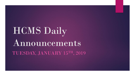# HCMS Daily Announcements TUESDAY, JANUARY 15TH, 2019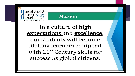



In a culture of **high** expectations and excellence, our students will become lifelong learners equipped with 21<sup>st</sup> Century skills for success as global citizens.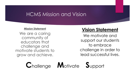### **HCMS Mission and Vision**

#### **Mission Statement**

We are a caring community of educators that challenge and motivate students to grow and achieve.

#### **Vision Statement**

We motivate and support our students to embrace challenge in order to lead successful lives.

**Challenge Motivate Support**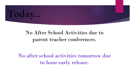

### No After School Activities due to parent teacher conferences.

No after school activities tomorrow due to hour early release.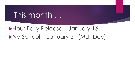## This month …

### Hour Early Release – January 16 No School - January 21 (MLK Day)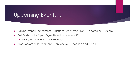### Upcoming Events…

- ▶ Girls Basketball Tournament January 19th @ West High 1st game @ 10:00 am
- Girls Volleyball Open Gym, Thursday, January 17<sup>th</sup>
	- $\blacktriangleright$  Permission forms are in the main office.
- $\triangleright$  Boys Basketball Tournament January 26<sup>th</sup>, Location and Time TBD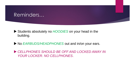#### Reminders…

- Students absolutely no *HOODIES* on your head in the building.
- ▶ No *EARBUDS/HEADPHONES* out and in/on your ears.
- *CELLPHONES SHOULD BE OFF AND LOCKED AWAY IN YOUR LOCKER. NO CELLPHONES*.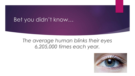### Bet you didn't know…

### *The average human blinks their eyes 6,205,000 times each year.*